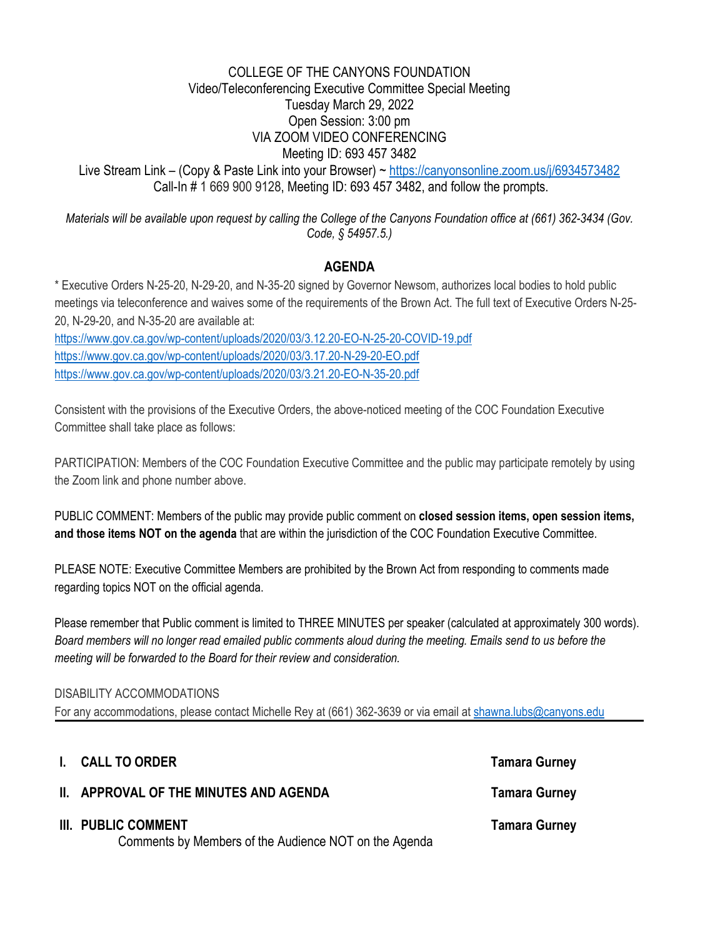# COLLEGE OF THE CANYONS FOUNDATION Video/Teleconferencing Executive Committee Special Meeting Tuesday March 29, 2022 Open Session: 3:00 pm VIA ZOOM VIDEO CONFERENCING Meeting ID: 693 457 3482 Live Stream Link – (Copy & Paste Link into your Browser) ~<https://canyonsonline.zoom.us/j/6934573482> Call-In # 1 669 900 9128, Meeting ID: 693 457 3482, and follow the prompts.

*Materials will be available upon request by calling the College of the Canyons Foundation office at (661) 362-3434 (Gov. Code, § 54957.5.)* 

# **AGENDA**

 \* Executive Orders N-25-20, N-29-20, and N-35-20 signed by Governor Newsom, authorizes local bodies to hold public meetings via teleconference and waives some of the requirements of the Brown Act. The full text of Executive Orders N-25- 20, N-29-20, and N-35-20 are available at:

<https://www.gov.ca.gov/wp-content/uploads/2020/03/3.12.20-EO-N-25-20-COVID-19.pdf> <https://www.gov.ca.gov/wp-content/uploads/2020/03/3.17.20-N-29-20-EO.pdf> <https://www.gov.ca.gov/wp-content/uploads/2020/03/3.21.20-EO-N-35-20.pdf>

Consistent with the provisions of the Executive Orders, the above-noticed meeting of the COC Foundation Executive Committee shall take place as follows:

PARTICIPATION: Members of the COC Foundation Executive Committee and the public may participate remotely by using the Zoom link and phone number above.

PUBLIC COMMENT: Members of the public may provide public comment on **closed session items, open session items, and those items NOT on the agenda** that are within the jurisdiction of the COC Foundation Executive Committee.

PLEASE NOTE: Executive Committee Members are prohibited by the Brown Act from responding to comments made regarding topics NOT on the official agenda.

Please remember that Public comment is limited to THREE MINUTES per speaker (calculated at approximately 300 words). *Board members will no longer read emailed public comments aloud during the meeting. Emails send to us before the meeting will be forwarded to the Board for their review and consideration.* 

#### DISABILITY ACCOMMODATIONS

For any accommodations, please contact Michelle Rey at (661) 362-3639 or via email at [shawna.lubs@canyons.edu](mailto:shawna.lubs@canyons.edu) 

# **I.** CALL TO ORDER **Tamara Gurney Tamara Gurney**

**II. APPROVAL OF THE MINUTES AND AGENDA** TAMAGEMENT Tamara Gurney

# **III.** PUBLIC COMMENT **Tamara Gurney Tamara Gurney Tamara Gurney**

Comments by Members of the Audience NOT on the Agenda